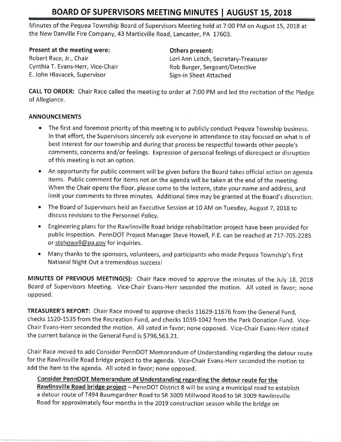Minutes of the Pequea Township Board of Supervisors Meeting held at 7:00 PM on August 15,2018 at the New Danville Fire Company,43 Marticville Road, Lancaster, PA 17603,

Present at the meeting were: Robert Race, Jr., Chair Cynthia T. Evans-Herr, Vice-Chair E, John Hlavacek, Supervisor

## Others present:

Lori Ann Leitch, Secretary-Treasurer Rob Burger, Sergeant/Detective Sign-in Sheet Attached

CALL TO ORDER: Chair Race called the meeting to order at 7:00 PM and led the recitation of the Pledge of Allegiance.

## ANNOUNCEMENTS

- . The first and foremost priority of this meeting is to publicly conduct Pequea Township business. In that effort, the Supervisors sincerely ask everyone in attendance to stay focused on what is of best interest for our township and during that process be respectful towards other people's comments, concerns and/or feelings. Expression of personal feelings of disrespect or disruption of this meeting is not an option.
- An opportunity for public comment will be given before the Board takes official action on agenda items, Public comment for items not on the agenda will be taken at the end of the meeting. When the Chair opens the floor, please come to the lectern, state your name and address, and limit your comments to three minutes. Additional time may be granted at the Board's discretion.
- The Board of Supervisors held an Executive Session at 10 AM on Tuesday, August 7, 2018 to discuss revisions to the Personnel Policy.
- o Engineering plans forthe Rawlinsville Road bridge rehabilitation project have been provided for public inspection. PennDOT Project Manager Steve Howell, P.E. can be reached at 717-705-2285 or stehowell@pa.gov for inquiries.
- . Manythanks to the sponsors, volunteers, and participants who made Pequea Townsfrip's first National Night Out a tremendous successl

MINUTES OF PREVIOUS MEETING(S): Chair Race moved to approve the minutes of the July 18, 2018 Board of Supervisors Meeting. Vice-Chair Evans-Herr seconded the motion, All voted in favor; none opposed,

TREASURER'S REPORT: Chair Race moved to approve checks 11629-11676 from the General Fund, checks 1520-1535 from the Recreation Fund, and checks 1039-1042 from the Park Donation Fund. Vice-Chair Evans-Herr seconded the motion. All voted in favor; none opposed. Vice-Chair Evans-Herr stated the current balance in the General Fund is \$796,563.21.

Chair Race moved to add Consider PennDOT Memorandum of Understanding regarding the cletour route for the Rawlinsville Road bridge project to the agenda. Vice-Chair Evans-Herr seconded the motion to add the item to the agenda. All voted in favor; none opposed.

Consider PennDOT Memorandum of Understanding regarding the detour route for the<br>Rawlinsville Road bridge project – PennDOT District 8 will be using a municipal road to establish a detour route of T494 Baumgardner Road to SR 3009 Millwood Road to SR 3009 Rawlinsville Road for approximately four months in the 2019 construction season while the bridge on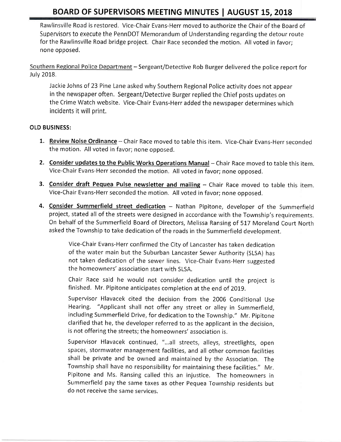Rawlinsville Road is restored, Vice-Chair Evans-Herr moved to authorize the Chair of the Board of Supervisors to execute the PennDOT Memorandum of Understanding regarding the detour route for the Rawlinsville Road bridge project. Chair Race seconded the motion. All voted in favor; none opposed.

Southern Regional Police Department - Sergeant/Detective Rob Burger delivered the police report for July 2018.

Jackie Johns of 23 Pine Lane asked why Southern Regional Police activity does not appear in the newspaper often. Sergeant/Detective Burger replied the Chief posts updates on the Crime Watch website. Vice-Chair Evans-Herr added the newspaper determines which incidents it will print.

## OLD BUSINESS:

- 1. Review Noise Ordinance Chair Race moved to table this item. Vice-Chair Evans-Herr seconded the motion. All voted in favor; none opposed.
- 2. Consider updates to the Public Works Operations Manual Chair Race moved to table this item. Vice-Chair Evans-Herr seconded the motion. All voted in favor; none opposed.
- 3. Consider draft Pequea Pulse newsletter and mailing Chair Race moved to table this item. Vice-Chair Evans-Herr seconded the motion, All voted in favor; none opposed.
- 4. Consider Summerfield street dedication Nathan Pipitone, developer of the Summerfield project, stated all of the streets were designed in accordance with the Township's requirements. On behalf of the Summerfield Board of Directors, Melissa Ransing of 5I7 Moreland Court North asked the Township to take dedication of the roads in the Summerfield development.

Vice-Chair Evans-Herr confirmed the City of Lancaster has taken dedication of the water main but the Suburban Lancaster Sewer Authority (SLSA) has not taken dedication of the sewer lines, Vice-chair Evans-Herr suggested the homeowners' association start with SLSA.

chair Race said he would not consider dedication until the project is finished. Mr. Pipitone anticipates completion at the end of 2019.

supervisor Hlavacek cited the decision from the 2006 conditional Use Hearing. "Applicant shall not offer any street or alley in summerfield, including Summerfield Drive, for dedication to the Township," Mr, pipitone clarified that he, the developer referred to as the applicant in the decision, is not offering the streets; the homeowners' association is,

Supervisor Hlavacek continued, "...all streets, alleys, streetlights, open spaces, stormwater management facilities, and all other common facilities shall be private and be owned and maintained by the Association. The Township shall have no responsibility for maintaining these facilities." Mr. Pipitone and Ms, Ransing called this an injustice. The homeowners in summerfield pay the same taxes as other pequea Township residents but do not receive the same services.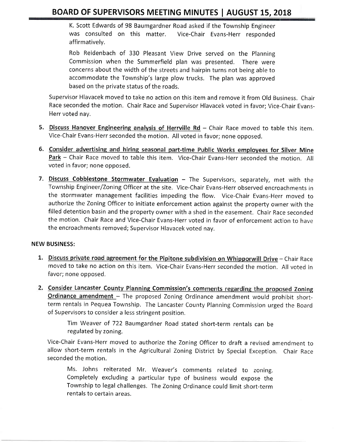K. Scott Edwards of 98 Baumgardner Road asked if the Township Engineer was consulted on this matter. Vice-Chair Evans-Herr responded affirmatively.

Rob Reidenbach of 330 Pleasant View Drive served on the Planning Commission when the Summerfield plan was presented. There were concerns about the width of the streets and hairpin turns not being able to accommodate the Township's large plow trucks, The plan was approved based on the private status of the roads.

Supervisor Hlavacek moved to take no action on this item and remove it from Old Business, Chair Race seconded the motion. Chair Race and Supervisor Hlavacek voted in favor; Vice-Chair Evans-Herr voted nay.

- 5. Discuss Hanover Engineering analysis of Herrville Rd  $-$  Chair Race moved to table this item. Vice-Chair Evans-Herr seconded the motion. All voted in favor; none opposed.
- 6. Consider advertising and hiring seasonal part-time Public Works employees for Silver Mine Park - Chair Race moved to table this item. Vice-Chair Evans-Herr seconded the motion. All voted in favor; none opposed.
- 7. Discuss Cobblestone Stormwater Evaluation The Supervisors, separately, met with the Township Engineer/Zoning Officer at the site. Vice-Chair Evans-Herr observed encroachments in the stormwater management facilities impeding the flow. Vice-Chair Evans-Herr moved to authorize the Zoning Officer to initiate enforcement action against the property owner with the filled detention basin and the property owner with a shed in the easement. Chair Race seconded the motion, Chair Race and Vice-Chair Evans-Herr voted in favor of enforcement action to have the encroachments removed; Supervisor Hlavacek voted nay,

#### NEW BUSINESS:

- 1. Discuss private road agreement for the Pipitone subdivision on Whipporwill Drive Chair Race moved to take no action on this item, Vice-Chair Evans-Herr seconded the motion. All voted in favor; none opposed.
- 2. Consider Lancaster County Planning Commission's comments regarding the proposed Zoning **Ordinance amendment** - The proposed Zoning Ordinance amendment would prohibit shortterm rentals in Pequea Township. The Lancaster County Planning Commission urged the Board of Supervisors to consider a less stringent position.

Tim Weaver of 722 Baumgardner Road stated short-term rentals can be regulated by zoning.

Vice-Chair Evans-Herr moved to authorize the Zoning Officer to draft a revised amendment to allow short-term rentals in the Agricultural Zoning District by Special Exception. Chair Race seconded the motion.

Ms. Johns reiterated Mr, weaver's comments related to zoning. Completely excluding a particular type of business would expose the Township to legal challenges. The Zoning Ordinance could limit short-term rentals to certain areas.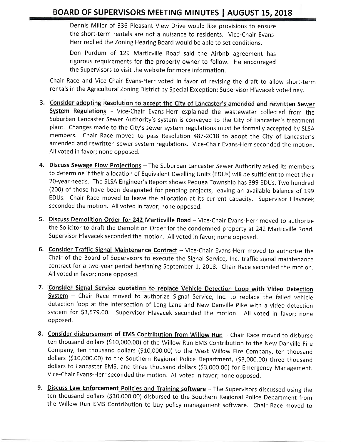Dennis Miller of 336 Pleasant View Drive would like provisions to ensure the short-term rentals are not a nuisance to residents. Vice-Chair Evans-Herr replied the Zoning Hearing Board would be able to set conditions.

Don Purdum of 129 Marticville Road said the Airbnb agreement has rigorous requirements for the property owner to follow. He encouraged the Supervisors to visit the website for more information.

Chair Race and Vice-Chair Evans-Herr voted in favor of revising the draft to allow short-term rentals in the Agricultural Zoning District by Special Exception; Supervisor Hlavacek voted nay.

- 3. Consider adopting Resolution to accept the City of Lancaster's amended and rewritten Sewer System Regulations - Vice-Chair Evans-Herr explained the wastewater collected from the Suburban Lancaster Sewer Authority's system is conveyed to the City of Lancaster's treatment plant, Changes made to the City's sewer system regulations must be formally accepted by SLSA members. Chair Race moved to pass Resolution 487-2018 to adopt the City of Lancaster's amended and rewritten sewer system regulations. Vice-Chair Evans-Herr seconded the motion. All voted in favor; none opposed.
- 4. Discuss Sewage Flow Projections The Suburban Lancaster Sewer Authority asked its members to determine if their allocation of Equivalent Dwelling Units (EDUs) will be sufficient to meet their 20-year needs. The SLSA Engineer's Report shows Pequea Township has 399 EDUs. Two hundred (200) of those have been designated for pending projects, leaving an available balance of <sup>199</sup> EDUs, Chair Race moved to leave the allocation at its current capacity, Supervisor Hlavacek seconded the motion. All voted in favor; none opposed.
- 5. Discuss Demolition Order for 242 Marticville Road Vice-Chair Evans-Herr moved to authorize the Solicitor to draft the Demolition Order for the condemned property at 242 Marticville Road. Supervisor Hlavacek seconded the motion. All voted in favor; none opposed.
- 6. Consider Traffic Signal Maintenance Contract Vice-Chair Evans-Herr moved to authorize the Chair of the Board of Supervisors to execute the Signal Service, Inc, traffic signal rnaintenance contract for a two-year period beginning September 1, 2018. Chair Race seconded the motion. All voted in favor; none opposed.
- 7. Consider Signal Service quotation to replace Vehicle Detection Loop with Video Detection System - Chair Race moved to authorize Signal Service, Inc. to replace the failed vehicle detection loop at the intersection of Long Lane and New Danville Pike with a video detection system for 53,579.00, Supervisor Hlavacek seconded the motion, All voted in favor; none opposed.
- 8. Consider disbursement of EMS Contribution from Willow Run Chair Race moved to disburse ten thousand dollars (S10,000.00) of the Willow Run EMS Contribution to the New Danville Fire Company, ten thousand dollars (\$10,000.00) to the West Willow Fire Company, ten thousand dollars (\$10,000.00) to the Southern Regional Police Department, (\$3,000.00) three thousand dollars to Lancaster EMS, and three thousand dollars (S3,ooo.0O) for Emergency Management, Vice-Chair Evans-Herr seconded the motion. All voted in favor; none opposed.
- 9. Discuss Law Enforcement Policies and Training software The Supervisors discussed using the ten thousand dollars (S10,000.00) disbursed to the Southern Regional police Department from the Willow Run EMS Contribution to buy policy management software. Chair Race moved to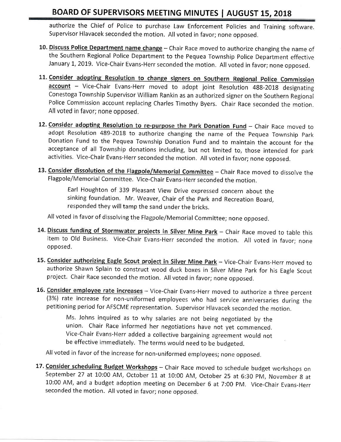authorize the Chief of Police to purchase Law Enforcement Policies and Training software. Supervisor Hlavacek seconded the motion. All voted in favor; none opposed.

- 10. Discuss Police Department name change Chair Race moved to authorize changing the name of the Southern Regional Police Department to the Pequea Township Police Department effective January 1, 2019. Vice-Chair Evans-Herr seconded the motion. All voted in favor; none opposed.
- 11. Consider adopting Resolution to change signers on Southern Regional Police Commission account - Vice-Chair Evans-Herr moved to adopt joint Resolution 488-2018 designating Conestoga Township Supervisor William Rankin as an authorized signer on the Southern Regional Police Commission account replacing Charles Timothy Byers. Chair Race seconded the motion, All voted in favor; none opposed.
- 12. Consider adopting Resolution to re-purpose the Park Donation Fund Chair Race moved to adopt Resolution 489-2018 to authorize changing the name of the Pequea Township Park Donation Fund to the Pequea Township Donation Fund and to maintain the account for the acceptance of all Township donations including, but not limited to, those intended for park activities. Vice-Chair Evans-Herr seconded the motion, All voted in favor; none opposed.
- 13. Consider dissolution of the Flagpole/Memorial Committee Chair Race moved to dissolve the Flagpole/Memorial Committee. Vice-Chair Evans-Herr seconded the motion.

Earl Houghton of 339 Pleasant View Drive expressed concern about the sinking foundation. Mr, Weaver, Chair of the Park and Recreation Board. responded they will tamp the sand under the bricks.

All voted in favor of dissolving the Flagpole/Memorial Committee; none opposed.

- 14. Discuss funding of Stormwater projects in Silver Mine Park Chair Race moved to table this item to Old Business. Vice-Chair Evans-Herr seconded the motion. All voted in favor; none opposed.
- 15. Consider authorizing Eagle Scout project in Silver Mine Park Vice-Chair Evans-Herr moved to authorize Shawn Splain to construct wood duck boxes in Silver Mine Park for his Eagle Scout project, chair Race seconded the motion. All voted in favor; none opposed,
- 16. Consider employee rate increases Vice-Chair Evans-Herr moved to authorize a three percent (3%) rate increase for non-uniformed employees who had service anniversaries during the petitioning period for AFSCME representation. Supervisor Hlavacek seconded the motion,

Ms. Johns inquired as to why salaries are not being negotiated by the union. Chair Race informed her negotiations have not yet commenced. Vice-Chair Evans-Herr added a collective bargaining agreement would not be effective immediately. The terms would need to be budgeted.

All voted in favor of the increase for non-uniformed employees; none opposed,

17. Consider scheduling Budget Workshops - Chair Race moved to schedule budget workshops on September 27 at 10:00 AM, October 11 at 10:00 AM, October 25 at 6:30 PM, November 8 at 10:00 AM, and a budget adoption meeting on December 6 at 7:00 PM. Vice-Chair Evans-Herr seconded the motion. All voted in favor; none opposed.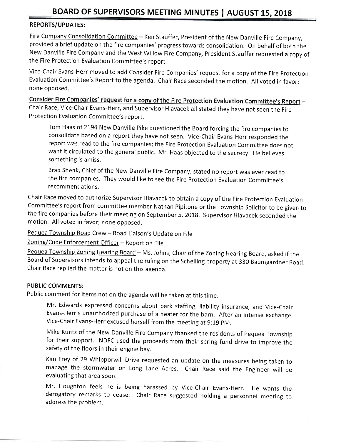## REPORTS/UPDATES:

Fire Company Consolidation Committee - Ken Stauffer, President of the New Danville Fire Company, provided a brief update on the fire companies' progress towards consolidation. On behalf of both the New Danville Fire Company and the West Willow Fire Company, President Stauffer requested a copy of the Fire Protection Evaluation Committee's report.

Vice-Chair Evans-Herr moved to add Consider Fire Companies' request for a copy of the Fire protection Evaluation Committee's Report to the agenda, Chair Race seconded the motion, All voted in favor; none opposed.

Consider Fire Companies' request for a copy of the Fire Protection Evaluation Committee's Report -Chair Race, Vice-Chair Evans-Herr, and Supervisor Hlavacek all stated they have not seen the Fire Protection Evaluation Committee's report.

Tom Haas of 2194 New Danville Pike questioned the Board forcing the fire companies to consolidate based on a report they have not seen. Vice-Chair Evans-Herr responded the report was read to the fire companies; the Fire Protection Evaluation Committee does not want it circulated to the general public. Mr. Haas objected to the secrecy. He believes something is amiss.

Brad Shenk, Chief of the New Danville Fire Company, stated no report was ever read to the fire companies. They would like to see the Fire Protection Evaluation Committee's recommendations.

Chair Race moved to authorize Supervisor Hlavacek to obtain a copy of the Fire Protection Evaluation Committee's report from committee member Nathan Pipitone or the Township Solicitor to be given to the fire companies before their meeting on September 5, 2018. Supervisor Hlavacek seconded the motion. All voted in favor; none opposed.

Pequea Township Road Crew - Road Liaison's Update on File

Zoning/Code Enforcement Officer - Report on File

Pequea Township Zoning Hearing Board - Ms. Johns, Chair of the Zoning Hearing Board, asked if the Board of Supervisors intends to appeal the ruling on the Schelling property at 330 Baumgardner Road. Chair Race replied the matter is not on this agenda,

#### PUBLIC COMMENTS:

Public comment for items not on the agenda will be taken at this time.

Mr. Edwards expressed concerns about park staffing, liability insurance, and Vice-Chair Evans-Herr's unauthorized purchase of a heater for the barn. After an intense exchange, Vice-chair Evans-Herr excused herself from the meeting at 9:19 pM,

Mike Kuntz of the New Danville Fire Company thanked the residents of pequea Township for their support. NDFC used the proceeds from their spring fund drive to improve the safety of the floors in their engine bay.

Kim Frey of 29 Whipporwill Drive requested an update on the measures being taken to manage the stormwater on Long Lane Acres, Chair Race said the Engineer will be evaluating that area soon.

Mr. Houghton feels he is being harassed by Vice-Chair Evans-Herr. He wants the derogatory remarks to cease, Chair Race suggested holding a personnel meeting to address the problem.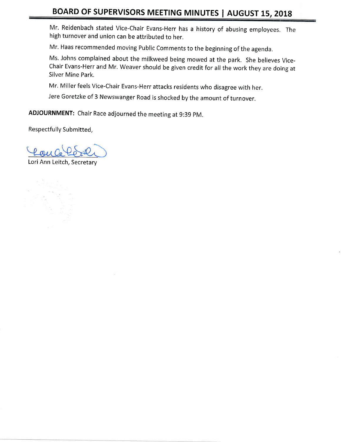Mr. Reidenbach stated Vice-Chair Evans-Herr has a history of abusing employees, The high turnover and union can be attributed to her.

Mr. Haas recommended moving Public Comments to the beginning of the agenda.

Ms, Johns complained about the milkweed being mowed at the park. She believes Vice-Chair Evans-Herr and Mr. Weaver should be given credit for all the work they are doing at Silver Mine Park.

Mr. Miller feels Vice-Chair Evans-Herr attacks residents who disagree with her.

Jere Goretzke of 3 Newswanger Road is shocked by the amount of turnover,

ADJOURNMENT: Chair Race adjourned the meeting at 9:39 pM.

Respectfully Submitted,

Lori Ann Leitch, Secretary